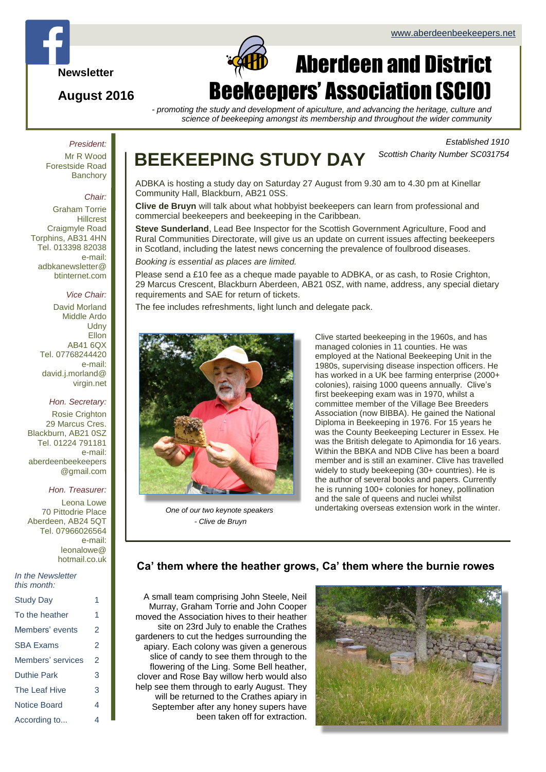

### **August 2016**

# Page 1 of  $\alpha$ Aberdeen and District Beekeepers' Association (SCIO)

*- promoting the study and development of apiculture, and advancing the heritage, culture and science of beekeeping amongst its membership and throughout the wider community*

### *President:*

Mr R Wood Forestside Road **Banchory** 

#### *Chair:*

Graham Torrie **Hillcrest** Craigmyle Road Torphins, AB31 4HN Tel. 013398 82038 e-mail: adbkanewsletter@ btinternet.com

#### *Vice Chair:*

David Morland Middle Ardo **Udny** Ellon AB41 6QX Tel. 07768244420 e-mail: david.j.morland@ virgin.net

#### *Hon. Secretary:*

Rosie Crighton 29 Marcus Cres. Blackburn, AB21 0SZ Tel. 01224 791181 e-mail: aberdeenbeekeepers @gmail.com

#### *Hon. Treasurer:*

Leona Lowe 70 Pittodrie Place Aberdeen, AB24 5QT Tel. 07966026564 e-mail: leonalowe@ hotmail.co.uk

#### *In the Newsletter this month:*

| <b>Study Day</b>  | 1 |
|-------------------|---|
| To the heather    | 1 |
| Members' events   | 2 |
| <b>SBA Exams</b>  | 2 |
| Members' services | 2 |
| Duthie Park       | 3 |
| The Leaf Hive     | 3 |
| Notice Board      | 4 |
| According to      | 4 |

# **BEEKEEPING STUDY DAY**

*Established 1910 Scottish Charity Number SC031754*

ADBKA is hosting a study day on Saturday 27 August from 9.30 am to 4.30 pm at Kinellar Community Hall, Blackburn, AB21 0SS.

**Clive de Bruyn** will talk about what hobbyist beekeepers can learn from professional and commercial beekeepers and beekeeping in the Caribbean.

**Steve Sunderland**, Lead Bee Inspector for the Scottish Government Agriculture, Food and Rural Communities Directorate, will give us an update on current issues affecting beekeepers in Scotland, including the latest news concerning the prevalence of foulbrood diseases. *Booking is essential as places are limited.*

Please send a £10 fee as a cheque made payable to ADBKA, or as cash, to Rosie Crighton, 29 Marcus Crescent, Blackburn Aberdeen, AB21 0SZ, with name, address, any special dietary requirements and SAE for return of tickets.

The fee includes refreshments, light lunch and delegate pack.



*One of our two keynote speakers - Clive de Bruyn*

Clive started beekeeping in the 1960s, and has managed colonies in 11 counties. He was employed at the National Beekeeping Unit in the 1980s, supervising disease inspection officers. He has worked in a UK bee farming enterprise (2000+ colonies), raising 1000 queens annually. Clive's first beekeeping exam was in 1970, whilst a committee member of the Village Bee Breeders Association (now BIBBA). He gained the National Diploma in Beekeeping in 1976. For 15 years he was the County Beekeeping Lecturer in Essex. He was the British delegate to Apimondia for 16 years. Within the BBKA and NDB Clive has been a board member and is still an examiner. Clive has travelled widely to study beekeeping (30+ countries). He is the author of several books and papers. Currently he is running 100+ colonies for honey, pollination and the sale of queens and nuclei whilst undertaking overseas extension work in the winter.

### **Ca' them where the heather grows, Ca' them where the burnie rowes**

A small team comprising John Steele, Neil Murray, Graham Torrie and John Cooper moved the Association hives to their heather site on 23rd July to enable the Crathes gardeners to cut the hedges surrounding the apiary. Each colony was given a generous slice of candy to see them through to the flowering of the Ling. Some Bell heather, clover and Rose Bay willow herb would also help see them through to early August. They will be returned to the Crathes apiary in September after any honey supers have been taken off for extraction.

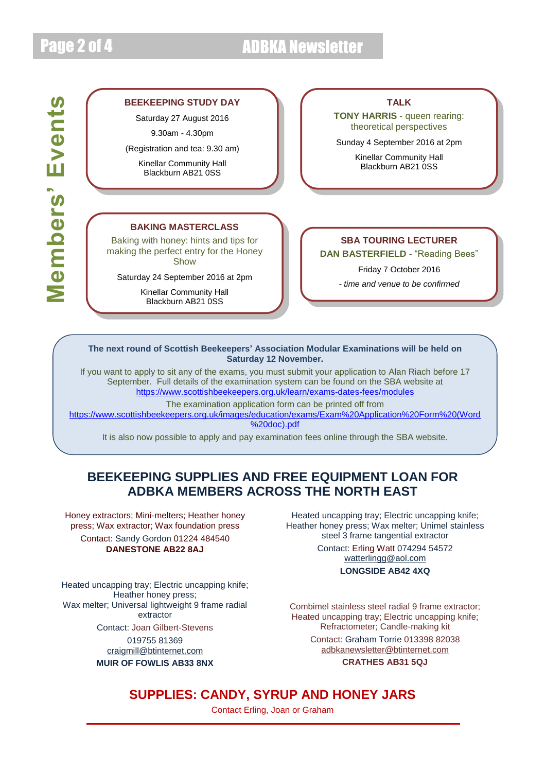# Page 2 of 4 ADBKA Newsletter

#### **BEEKEEPING STUDY DAY**

Saturday 27 August 2016

9.30am - 4.30pm

(Registration and tea: 9.30 am)

Kinellar Community Hall Blackburn AB21 0SS

### **TALK**

**TONY HARRIS** - queen rearing: theoretical perspectives

Sunday 4 September 2016 at 2pm

Kinellar Community Hall Blackburn AB21 0SS

#### **BAKING MASTERCLASS**

Baking with honey: hints and tips for making the perfect entry for the Honey Show

Saturday 24 September 2016 at 2pm

Kinellar Community Hall Blackburn AB21 0SS

### **SBA TOURING LECTURER**

**DAN BASTERFIELD** - "Reading Bees"

Friday 7 October 2016

*- time and venue to be confirmed*

**The next round of Scottish Beekeepers' Association Modular Examinations will be held on Saturday 12 November.**

If you want to apply to sit any of the exams, you must submit your application to Alan Riach before 17 September. Full details of the examination system can be found on the SBA website at <https://www.scottishbeekeepers.org.uk/learn/exams-dates-fees/modules>

The examination application form can be printed off from

[https://www.scottishbeekeepers.org.uk/images/education/exams/Exam%20Application%20Form%20\(Word](https://www.scottishbeekeepers.org.uk/images/education/exams/Exam%20Application%20Form%20(Word%20doc).pdf) [%20doc\).pdf](https://www.scottishbeekeepers.org.uk/images/education/exams/Exam%20Application%20Form%20(Word%20doc).pdf)

It is also now possible to apply and pay examination fees online through the SBA website.

### **BEEKEEPING SUPPLIES AND FREE EQUIPMENT LOAN FOR ADBKA MEMBERS ACROSS THE NORTH EAST**

Honey extractors; Mini-melters; Heather honey press; Wax extractor; Wax foundation press Contact: Sandy Gordon 01224 484540 **DANESTONE AB22 8AJ**

Heated uncapping tray; Electric uncapping knife; Heather honey press; Wax melter: Universal lightweight 9 frame radial extractor Contact: Joan Gilbert-Stevens 019755 81369 [craigmill@btinternet.com](mailto:craigmill@btinternet.com)

**MUIR OF FOWLIS AB33 8NX**

Heated uncapping tray; Electric uncapping knife; Heather honey press; Wax melter; Unimel stainless steel 3 frame tangential extractor Contact: Erling Watt 074294 54572 [watterlingg@aol.com](mailto:watterlingg@aol.com) **LONGSIDE AB42 4XQ**

Combimel stainless steel radial 9 frame extractor; Heated uncapping tray; Electric uncapping knife; Refractometer; Candle-making kit

> Contact: Graham Torrie 013398 82038 [adbkanewsletter@btinternet.com](mailto:adbkanewsletter@btinternet.com)

### **CRATHES AB31 5QJ**

### **SUPPLIES: CANDY, SYRUP AND HONEY JARS**

Contact Erling, Joan or Graham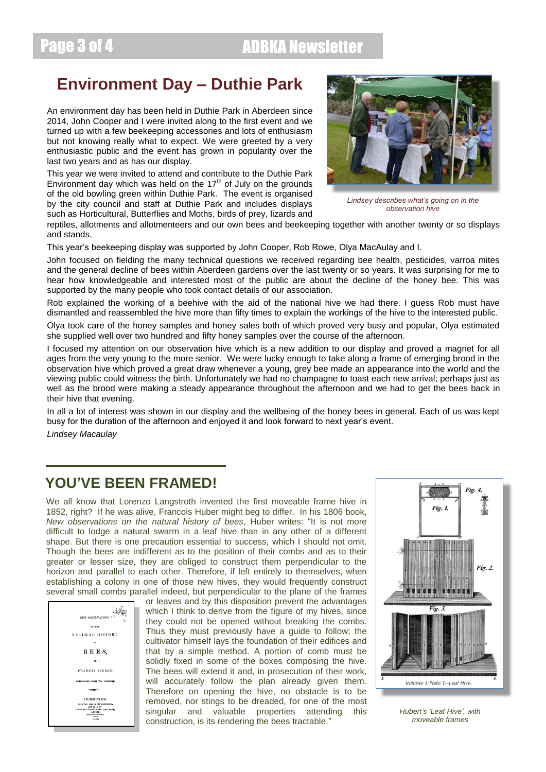# Page 3 of 4 ADBKA Newsletter

## **Environment Day – Duthie Park**

An environment day has been held in Duthie Park in Aberdeen since 2014, John Cooper and I were invited along to the first event and we turned up with a few beekeeping accessories and lots of enthusiasm but not knowing really what to expect. We were greeted by a very enthusiastic public and the event has grown in popularity over the last two years and as has our display.

This year we were invited to attend and contribute to the Duthie Park Environment day which was held on the  $17<sup>th</sup>$  of July on the grounds of the old bowling green within Duthie Park. The event is organised by the city council and staff at Duthie Park and includes displays such as Horticultural, Butterflies and Moths, birds of prey, lizards and



*Lindsey describes what's going on in the observation hive*

reptiles, allotments and allotmenteers and our own bees and beekeeping together with another twenty or so displays and stands.

This year's beekeeping display was supported by John Cooper, Rob Rowe, Olya MacAulay and I.

John focused on fielding the many technical questions we received regarding bee health, pesticides, varroa mites and the general decline of bees within Aberdeen gardens over the last twenty or so years. It was surprising for me to hear how knowledgeable and interested most of the public are about the decline of the honey bee. This was supported by the many people who took contact details of our association.

Rob explained the working of a beehive with the aid of the national hive we had there. I guess Rob must have dismantled and reassembled the hive more than fifty times to explain the workings of the hive to the interested public.

Olya took care of the honey samples and honey sales both of which proved very busy and popular, Olya estimated she supplied well over two hundred and fifty honey samples over the course of the afternoon.

I focused my attention on our observation hive which is a new addition to our display and proved a magnet for all ages from the very young to the more senior. We were lucky enough to take along a frame of emerging brood in the observation hive which proved a great draw whenever a young, grey bee made an appearance into the world and the viewing public could witness the birth. Unfortunately we had no champagne to toast each new arrival; perhaps just as well as the brood were making a steady appearance throughout the afternoon and we had to get the bees back in their hive that evening.

In all a lot of interest was shown in our display and the wellbeing of the honey bees in general. Each of us was kept busy for the duration of the afternoon and enjoyed it and look forward to next year's event.

*Lindsey Macaulay*

### **YOU'VE BEEN FRAMED!**

We all know that Lorenzo Langstroth invented the first moveable frame hive in 1852, right? If he was alive, Francois Huber might beg to differ. In his 1806 book, *New observations on the natural history of bees*, Huber writes: "It is not more difficult to lodge a natural swarm in a leaf hive than in any other of a different shape. But there is one precaution essential to success, which I should not omit. Though the bees are indifferent as to the position of their combs and as to their greater or lesser size, they are obliged to construct them perpendicular to the horizon and parallel to each other. Therefore, if left entirely to themselves, when establishing a colony in one of those new hives, they would frequently construct several small combs parallel indeed, but perpendicular to the plane of the frames



or leaves and by this disposition prevent the advantages which I think to derive from the figure of my hives, since they could not be opened without breaking the combs. Thus they must previously have a guide to follow; the cultivator himself lays the foundation of their edifices and that by a simple method. A portion of comb must be solidly fixed in some of the boxes composing the hive. The bees will extend it and, in prosecution of their work, will accurately follow the plan already given them. Therefore on opening the hive, no obstacle is to be removed, nor stings to be dreaded, for one of the most singular and valuable properties attending this construction, is its rendering the bees tractable."



*Hubert's 'Leaf Hive', with moveable frames*